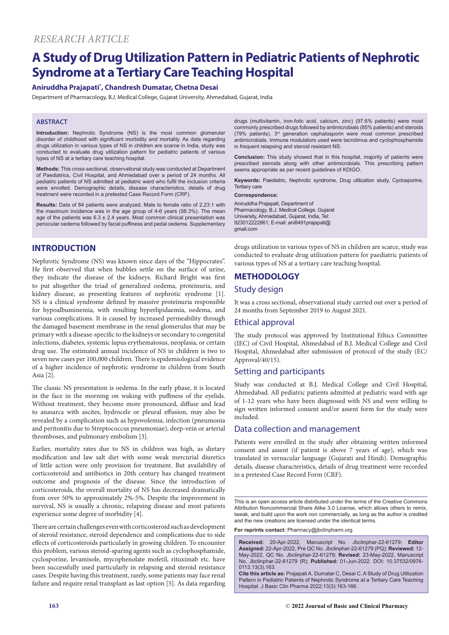# **A Study of Drug Utilization Pattern in Pediatric Patients of Nephrotic Syndrome at a Tertiary Care Teaching Hospital**

#### **Aniruddha Prajapati\* , Chandresh Dumatar, Chetna Desai**

Department of Pharmacology, B.J. Medical College, Gujarat University, Ahmedabad, Gujarat, India

#### **ABSTRACT**

**Introduction:** Nephrotic Syndrome (NS) is the most common glomerular disorder of childhood with significant morbidity and mortality. As data regarding drugs utilization in various types of NS in children are scarce in India, study was conducted to evaluate drug utilization pattern for pediatric patients of various types of NS at a tertiary care teaching hospital.

**Methods:** This cross-sectional, observational study was conducted at Department of Paediatrics, Civil Hospital, and Ahmedabad over a period of 24 months. All pediatric patients of NS admitted at pediatric ward who fulfil the inclusion criteria were enrolled. Demographic details, disease characteristics, details of drug treatment were recorded in a pretested Case Record Form (CRF).

**Results:** Data of 84 patients were analyzed. Male to female ratio of 2.23:1 with the maximum incidence was in the age group of 4-6 years (58.3%). The mean age of the patients was  $6.3 \pm 2.4$  years. Most common clinical presentation was periocular oedema followed by facial puffiness and pedal oedema. Supplementary

## **INTRODUCTION**

Nephrotic Syndrome (NS) was known since days of the "Hippocrates". He first observed that when bubbles settle on the surface of urine, they indicate the disease of the kidneys. Richard Bright was first to put altogether the triad of generalized oedema, proteinuria, and kidney disease, as presenting features of nephrotic syndrome [1]. NS is a clinical syndrome defined by massive proteinuria responsible for hypoalbuminemia, with resulting hyperlipidaemia, oedema, and various complications. It is caused by increased permeability through the damaged basement membrane in the renal glomerulus that may be primary with a disease-specific to the kidneys or secondary to congenital infections, diabetes, systemic lupus erythematosus, neoplasia, or certain drug use. The estimated annual incidence of NS in children is two to seven new cases per 100,000 children. There is epidemiological evidence of a higher incidence of nephrotic syndrome in children from South Asia [2].

The classic NS presentation is oedema. In the early phase, it is located in the face in the morning on waking with puffiness of the eyelids. Without treatment, they become more pronounced, diffuse and lead to anasarca with ascites, hydrocele or pleural effusion, may also be revealed by a complication such as hypovolemia, infection (pneumonia and peritonitis due to Streptococcus pneumoniae), deep-vein or arterial thromboses, and pulmonary embolism [3].

Earlier, mortality rates due to NS in children was high, as dietary modification and law salt diet with some weak mercurial diuretics of little action were only provision for treatment. But availability of corticosteroid and antibiotics in 20th century has changed treatment outcome and prognosis of the disease. Since the introduction of corticosteroids, the overall mortality of NS has decreased dramatically from over 50% to approximately 2%-5%. Despite the improvement in survival, NS is usually a chronic, relapsing disease and most patients experience some degree of morbidity [4].

There are certain challenges even with corticosteroid such as development of steroid resistance, steroid dependence and complications due to side effects of corticosteroids particularly in growing children. To encounter this problem, various steroid-sparing agents such as cyclophosphamide, cyclosporine, levamisole, mycophenolate mofetil, rituximab etc. have been successfully used particularly in relapsing and steroid resistance cases. Despite having this treatment, rarely, some patients may face renal failure and require renal transplant as last option [5]. As data regarding drugs (multivitamin, iron-folic acid, calcium, zinc) (97.6% patients) were most commonly prescribed drugs followed by antimicrobials (85% patients) and steroids (79% patients). 3rd generation cephalosporin were most common prescribed antimicrobials. Immune modulators used were tacrolimus and cyclophosphamide in frequent relapsing and steroid resistant NS.

**Conclusion:** This study showed that in this hospital, majority of patients were prescribed steroids along with other antimicrobials. This prescribing pattern seems appropriate as per recent guidelines of KDIGO.

**Keywords:** Paediatric, Nephrotic syndrome, Drug utilization study, Cyclosporine, Tertiary care

#### **Correspondence:**

Aniruddha Prajapati, Department of Pharmacology, B.J. Medical College, Gujarat University, Ahmedabad, Gujarat, India, Tel: 923012222861; E-mail: ani8491prajapati@ gmail.com

drugs utilization in various types of NS in children are scarce, study was conducted to evaluate drug utilization pattern for paediatric patients of various types of NS at a tertiary care teaching hospital.

## **METHODOLOGY**

#### Study design

It was a cross sectional, observational study carried out over a period of 24 months from September 2019 to August 2021.

#### Ethical approval

The study protocol was approved by Institutional Ethics Committee (IEC) of Civil Hospital, Ahmedabad of B.J. Medical College and Civil Hospital, Ahmedabad after submission of protocol of the study (EC/ Approval/40/15).

#### Setting and participants

Study was conducted at B.J. Medical College and Civil Hospital, Ahmedabad. All pediatric patients admitted at pediatric ward with age of 1-12 years who have been diagnosed with NS and were willing to sign written informed consent and/or assent form for the study were included.

## Data collection and management

Patients were enrolled in the study after obtaining written informed consent and assent (if patient is above 7 years of age), which was translated in vernacular language (Gujarati and Hindi). Demographic details, disease characteristics, details of drug treatment were recorded in a pretested Case Record Form (CRF).

This is an open access article distributed under the terms of the Creative Commons Attribution Noncommercial Share Alike 3.0 License, which allows others to remix, tweak, and build upon the work non commercially, as long as the author is credited and the new creations are licensed under the identical terms.

**For reprints contact:** Pharmacy@jbclinpharm.org

**Received:** 20-Apr-2022, Manuscript No. Jbclinphar-22-61279; **Editor Assigned:** 22-Apr-2022, Pre QC No. Jbclinphar-22-61279 (PQ); **Reviewed:** 12- May-2022, QC No. Jbclinphar-22-61279; **Revised:** 23-May-2022, Manuscript No. Jbclinphar-22-61279 (R); **Published:** 01-Jun-2022. DOI: 10.37532/0976- 0113.13(3).163.

**Cite this article as:** Prajapati A, Dumatar C, Desai C. A Study of Drug Utilization Pattern in Pediatric Patients of Nephrotic Syndrome at a Tertiary Care Teaching Hospital. J Basic Clin Pharma 2022;13(3):163-166.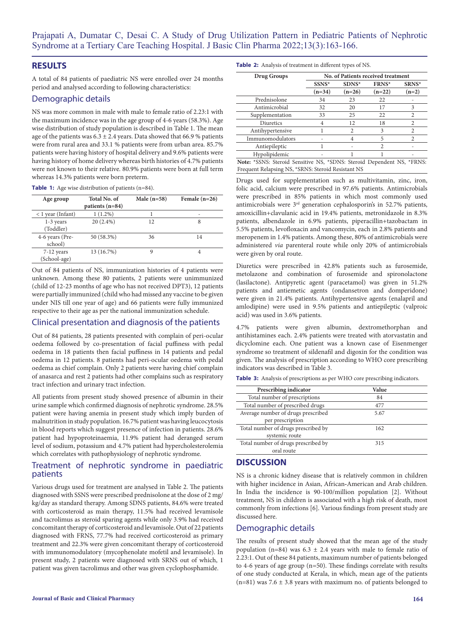## **RESULTS**

A total of 84 patients of paediatric NS were enrolled over 24 months period and analysed according to following characteristics:

## Demographic details

NS was more common in male with male to female ratio of 2.23:1 with the maximum incidence was in the age group of 4-6 years (58.3%). Age wise distribution of study population is described in Table 1. The mean age of the patients was  $6.3 \pm 2.4$  years. Data showed that 66.9 % patients were from rural area and 33.1 % patients were from urban area. 85.7% patients were having history of hospital delivery and 9.6% patients were having history of home delivery whereas birth histories of 4.7% patients were not known to their relative. 80.9% patients were born at full term whereas 14.3% patients were born preterm.

**Table 1:** Age wise distribution of patients (n=84).

| Age group                    | Total No. of<br>patients $(n=84)$ | Male $(n=58)$ | Female $(n=26)$ |
|------------------------------|-----------------------------------|---------------|-----------------|
| $<$ 1 year (Infant)          | $1(1.2\%)$                        |               | ۰               |
| $1-3$ years<br>(Toddler)     | $20(2.4\%)$                       | 12            | 8               |
| 4-6 years (Pre-<br>school)   | 50 (58.3%)                        | 36            | 14              |
| $7-12$ years<br>(School-age) | 13 (16.7%)                        | 9             |                 |

Out of 84 patients of NS, immunization histories of 4 patients were unknown. Among these 80 patients, 2 patients were unimmunized (child of 12-23 months of age who has not received DPT3), 12 patients were partially immunized (child who had missed any vaccine to be given under NIS till one year of age) and 66 patients were fully immunized respective to their age as per the national immunization schedule.

## Clinical presentation and diagnosis of the patients

Out of 84 patients, 28 patients presented with complain of peri-ocular oedema followed by co-presentation of facial puffiness with pedal oedema in 18 patients then facial puffiness in 14 patients and pedal oedema in 12 patients. 8 patients had peri-ocular oedema with pedal oedema as chief complain. Only 2 patients were having chief complain of anasarca and rest 2 patients had other complains such as respiratory tract infection and urinary tract infection.

All patients from present study showed presence of albumin in their urine sample which confirmed diagnosis of nephrotic syndrome. 28.5% patient were having anemia in present study which imply burden of malnutrition in study population. 16.7% patient was having leucocytosis in blood reports which suggest presence of infection in patients. 28.6% patient had hypoproteinaemia, 11.9% patient had deranged serum level of sodium, potassium and 4.7% patient had hypercholesterolemia which correlates with pathophysiology of nephrotic syndrome.

## Treatment of nephrotic syndrome in paediatric patients

Various drugs used for treatment are analysed in Table 2. The patients diagnosed with SSNS were prescribed prednisolone at the dose of 2 mg/ kg/day as standard therapy. Among SDNS patients, 84.6% were treated with corticosteroid as main therapy, 11.5% had received levamisole and tacrolimus as steroid sparing agents while only 3.9% had received concomitant therapy of corticosteroid and levamisole. Out of 22 patients diagnosed with FRNS, 77.7% had received corticosteroid as primary treatment and 22.3% were given concomitant therapy of corticosteroid with immunomodulatory (mycophenolate mofetil and levamisole). In present study, 2 patients were diagnosed with SRNS out of which, 1 patient was given tacrolimus and other was given cyclophosphamide.

**Table 2:** Analysis of treatment in different types of NS.

| Drug Groups                                                            | No. of Patients received treatment |          |          |                |  |  |
|------------------------------------------------------------------------|------------------------------------|----------|----------|----------------|--|--|
|                                                                        | SSNS*                              | SDNS*    | FRNS*    | SRNS*          |  |  |
|                                                                        | $(n=34)$                           | $(n=26)$ | $(n=22)$ | $(n=2)$        |  |  |
| Prednisolone                                                           | 34                                 | 23       | 22       |                |  |  |
| Antimicrobial                                                          | 32                                 | 20       | 17       | 3              |  |  |
| Supplementation                                                        | 33                                 | 25       | 22       | 2              |  |  |
| Diuretics                                                              | 4                                  | 12       | 18       | 2              |  |  |
| Antihypertensive                                                       |                                    | 2        | 3        | 2              |  |  |
| Immunomodulators                                                       |                                    | 4        | 5        | $\mathfrak{D}$ |  |  |
| Antiepileptic                                                          |                                    |          | 2        |                |  |  |
| Hypolipidemic                                                          |                                    |          |          |                |  |  |
| Note: *SSNS: Steroid Sensitive NS, *SDNS: Steroid Dependent NS, *FRNS: |                                    |          |          |                |  |  |
| Frequent Relapsing NS, *SRNS: Steroid Resistant NS                     |                                    |          |          |                |  |  |

Drugs used for supplementation such as multivitamin, zinc, iron, folic acid, calcium were prescribed in 97.6% patients. Antimicrobials were prescribed in 85% patients in which most commonly used antimicrobials were 3rd generation cephalosporin's in 52.7% patients, amoxicillin+clavulanic acid in 19.4% patients, metronidazole in 8.3% patients, albendazole in 6.9% patients, piperacillin+tazobactam in 5.5% patients, levofloxacin and vancomycin, each in 2.8% patients and meropenem in 1.4% patients. Among these, 80% of antimicrobials were administered *via* parenteral route while only 20% of antimicrobials were given by oral route.

Diuretics were prescribed in 42.8% patients such as furosemide, metolazone and combination of furosemide and spironolactone (lasilactone). Antipyretic agent (paracetamol) was given in 51.2% patients and antiemetic agents (ondansetron and domperidone) were given in 21.4% patients. Antihypertensive agents (enalapril and amlodipine) were used in 9.5% patients and antiepileptic (valproic acid) was used in 3.6% patients.

4.7% patients were given albumin, dextromethorphan and antihistamines each. 2.4% patients were treated with atorvastatin and dicyclomine each. One patient was a known case of Eisenmenger syndrome so treatment of sildenafil and digoxin for the condition was given. The analysis of prescription according to WHO core prescribing indicators was described in Table 3.

**Table 3:** Analysis of prescriptions as per WHO core prescribing indicators.

| <b>Prescribing indicator</b>        | Value |
|-------------------------------------|-------|
| Total number of prescriptions       | 84    |
| Total number of prescribed drugs    | 477   |
| Average number of drugs prescribed  | 5.67  |
| per prescription                    |       |
| Total number of drugs prescribed by | 162   |
| systemic route                      |       |
| Total number of drugs prescribed by | 315   |
| oral route                          |       |

## **DISCUSSION**

NS is a chronic kidney disease that is relatively common in children with higher incidence in Asian, African‐American and Arab children. In India the incidence is 90-100/million population [2]. Without treatment, NS in children is associated with a high risk of death, most commonly from infections [6]. Various findings from present study are discussed here.

#### Demographic details

The results of present study showed that the mean age of the study population (n=84) was  $6.3 \pm 2.4$  years with male to female ratio of 2.23:1. Out of these 84 patients, maximum number of patients belonged to 4-6 years of age group (n=50). These findings correlate with results of one study conducted at Kerala, in which, mean age of the patients (n=81) was 7.6  $\pm$  3.8 years with maximum no. of patients belonged to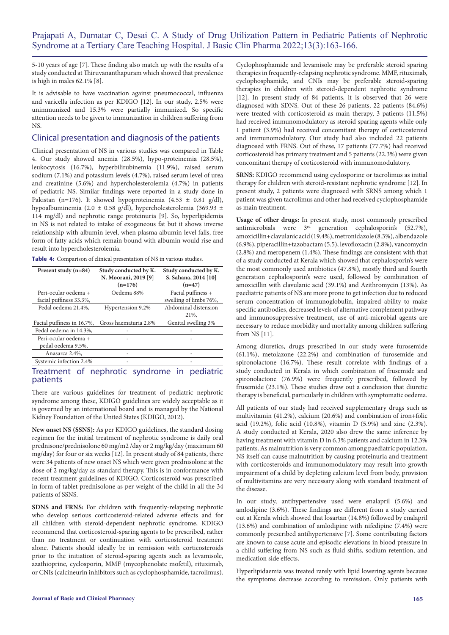5-10 years of age [7]. These finding also match up with the results of a study conducted at Thiruvananthapuram which showed that prevalence is high in males 62.1% [8].

It is advisable to have vaccination against pneumococcal, influenza and varicella infection as per KDIGO [12]. In our study, 2.5% were unimmunized and 15.3% were partially immunized. So specific attention needs to be given to immunization in children suffering from NS.

#### Clinical presentation and diagnosis of the patients

Clinical presentation of NS in various studies was compared in Table 4. Our study showed anemia (28.5%), hypo-proteinemia (28.5%), leukocytosis (16.7%), hyperbilirubinemia (11.9%), raised serum sodium (7.1%) and potassium levels (4.7%), raised serum level of urea and creatinine (5.6%) and hypercholesterolemia (4.7%) in patients of pediatric NS. Similar findings were reported in a study done in Pakistan (n=176). It showed hypoproteinemia (4.53  $\pm$  0.81 g/dl), hypoalbuminemia (2.0 ± 0.58 g/dl), hypercholesterolemia (369.93 ± 114 mg/dl) and nephrotic range proteinuria [9]. So, hyperlipidemia in NS is not related to intake of exogeneous fat but it shows inverse relationship with albumin level, when plasma albumin level falls, free form of fatty acids which remain bound with albumin would rise and result into hypercholesterolemia.

**Table 4:** Comparison of clinical presentation of NS in various studies.

| Present study $(n=84)$     | Study conducted by K.<br>N. Moorani, 2019 [9] | Study conducted by K.<br>S. Sahana, 2014 [10] |  |
|----------------------------|-----------------------------------------------|-----------------------------------------------|--|
|                            | $(n=176)$                                     | $(n=47)$                                      |  |
| Peri-ocular oedema +       | Oedema 88%                                    | Facial puffiness +                            |  |
| facial puffiness 33.3%,    |                                               | swelling of limbs 76%,                        |  |
| Pedal oedema 21.4%,        | Hypertension 9.2%                             | Abdominal distension                          |  |
|                            |                                               | 21%.                                          |  |
| Facial puffiness in 16.7%, | Gross haematuria 2.8%                         | Genital swelling 3%                           |  |
| Pedal oedema in 14.3%,     |                                               |                                               |  |
| Peri-ocular oedema +       |                                               |                                               |  |
| pedal oedema 9.5%,         |                                               |                                               |  |
| Anasarca 2.4%,             |                                               |                                               |  |
| Systemic infection 2.4%    |                                               |                                               |  |
|                            |                                               |                                               |  |

## Treatment of nephrotic syndrome in pediatric patients

There are various guidelines for treatment of pediatric nephrotic syndrome among these, KDIGO guidelines are widely acceptable as it is governed by an international board and is managed by the National Kidney Foundation of the United States (KDIGO, 2012).

**New onset NS (SSNS):** As per KDIGO guidelines, the standard dosing regimen for the initial treatment of nephrotic syndrome is daily oral prednisone/prednisolone 60 mg/m2 /day or 2 mg/kg/day (maximum 60 mg/day) for four or six weeks [12]. In present study of 84 patients, there were 34 patients of new onset NS which were given prednisolone at the dose of 2 mg/kg/day as standard therapy. This is in conformance with recent treatment guidelines of KDIGO. Corticosteroid was prescribed in form of tablet prednisolone as per weight of the child in all the 34 patients of SSNS.

**SDNS and FRNS:** For children with frequently-relapsing nephrotic who develop serious corticosteroid-related adverse effects and for all children with steroid-dependent nephrotic syndrome, KDIGO recommend that corticosteroid-sparing agents to be prescribed, rather than no treatment or continuation with corticosteroid treatment alone. Patients should ideally be in remission with corticosteroids prior to the initiation of steroid-sparing agents such as levamisole, azathioprine, cyclosporin, MMF (mycophenolate mofetil), rituximab, or CNIs (calcineurin inhibitors such as cyclophosphamide, tacrolimus).

Cyclophosphamide and levamisole may be preferable steroid sparing therapies in frequently-relapsing nephrotic syndrome. MMF, rituximab, cyclophosphamide, and CNIs may be preferable steroid-sparing therapies in children with steroid-dependent nephrotic syndrome [12]. In present study of 84 patients, it is observed that 26 were diagnosed with SDNS. Out of these 26 patients, 22 patients (84.6%) were treated with corticosteroid as main therapy, 3 patients (11.5%) had received immunomodulatory as steroid sparing agents while only 1 patient (3.9%) had received concomitant therapy of corticosteroid and immunomodulatory. Our study had also included 22 patients diagnosed with FRNS. Out of these, 17 patients (77.7%) had received corticosteroid has primary treatment and 5 patients (22.3%) were given concomitant therapy of corticosteroid with immunomodulatory.

**SRNS:** KDIGO recommend using cyclosporine or tacrolimus as initial therapy for children with steroid-resistant nephrotic syndrome [12]. In present study, 2 patients were diagnosed with SRNS among which 1 patient was given tacrolimus and other had received cyclophosphamide as main treatment.

**Usage of other drugs:** In present study, most commonly prescribed antimicrobials were  $3<sup>rd</sup>$  generation cephalosporin's (52.7%), amoxicillin+clavulanic acid (19.4%), metronidazole (8.3%), albendazole (6.9%), piperacillin+tazobactam (5.5), levofloxacin (2.8%), vancomycin (2.8%) and meropenem (1.4%). These findings are consistent with that of a study conducted at Kerala which showed that cephalosporin's were the most commonly used antibiotics (47.8%), mostly third and fourth generation cephalosporin's were used, followed by combination of amoxicillin with clavulanic acid (39.1%) and Azithromycin (13%). As paediatric patients of NS are more prone to get infection due to reduced serum concentration of immunoglobulin, impaired ability to make specific antibodies, decreased levels of alternative complement pathway and immunosuppressive treatment, use of anti-microbial agents are necessary to reduce morbidity and mortality among children suffering from NS [11].

Among diuretics, drugs prescribed in our study were furosemide (61.1%), metolazone (22.2%) and combination of furosemide and spironolactone (16.7%). These result correlate with findings of a study conducted in Kerala in which combination of frusemide and spironolactone (76.9%) were frequently prescribed, followed by frusemide (23.1%). These studies draw out a conclusion that diuretic therapy is beneficial, particularly in children with symptomatic oedema.

All patients of our study had received supplementary drugs such as multivitamin (41.2%), calcium (20.6%) and combination of iron+folic acid (19.2%), folic acid (10.8%), vitamin D (5.9%) and zinc (2.3%). A study conducted at Kerala, 2020 also drew the same inference by having treatment with vitamin D in 6.3% patients and calcium in 12.3% patients. As malnutrition is very common among paediatric population, NS itself can cause malnutrition by causing proteinuria and treatment with corticosteroids and immunomodulatory may result into growth impairment of a child by depleting calcium level from body, provision of multivitamins are very necessary along with standard treatment of the disease.

In our study, antihypertensive used were enalapril (5.6%) and amlodipine (3.6%). These findings are different from a study carried out at Kerala which showed that losartan (14.8%) followed by enalapril (13.6%) and combination of amlodipine with nifedipine (7.4%) were commonly prescribed antihypertensive [7]. Some contributing factors are known to cause acute and episodic elevations in blood pressure in a child suffering from NS such as fluid shifts, sodium retention, and medication side effects.

Hyperlipidaemia was treated rarely with lipid lowering agents because the symptoms decrease according to remission. Only patients with